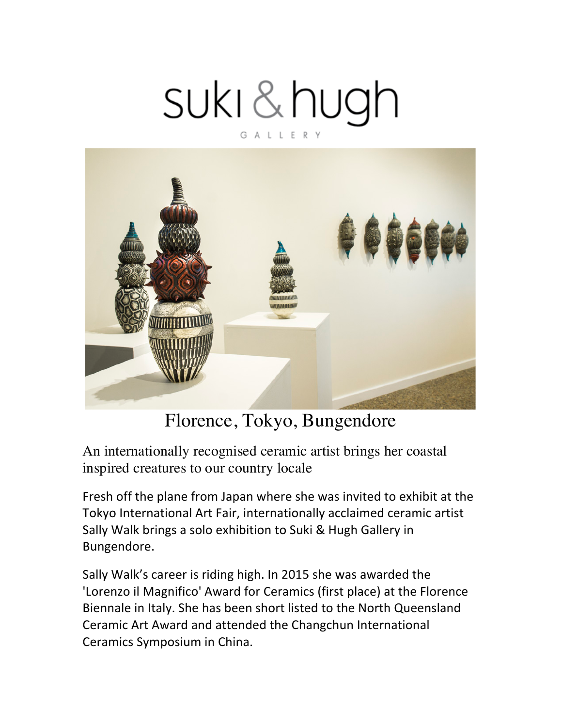## suki&hugh GALLERY



## Florence, Tokyo, Bungendore

An internationally recognised ceramic artist brings her coastal inspired creatures to our country locale

Fresh off the plane from Japan where she was invited to exhibit at the Tokyo International Art Fair, internationally acclaimed ceramic artist Sally Walk brings a solo exhibition to Suki & Hugh Gallery in Bungendore. 

Sally Walk's career is riding high. In 2015 she was awarded the 'Lorenzo il Magnifico' Award for Ceramics (first place) at the Florence Biennale in Italy. She has been short listed to the North Queensland Ceramic Art Award and attended the Changchun International Ceramics Symposium in China.